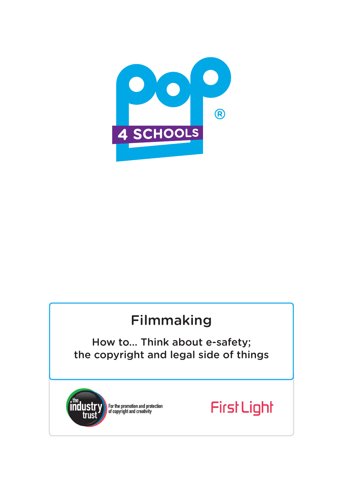

# Filmmaking

How to... Think about e-safety; the copyright and legal side of things



For the promotion and protection<br>of copyright and creativity

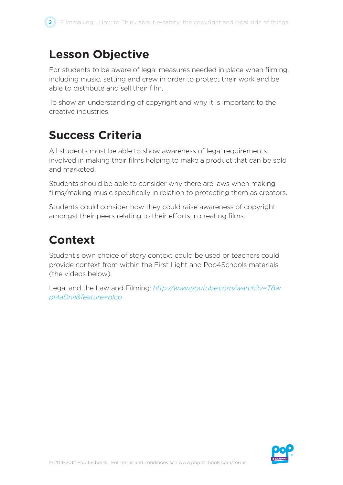

## **Lesson Objective**

For students to be aware of legal measures needed in place when filming, including music, setting and crew in order to protect their work and be able to distribute and sell their film.

To show an understanding of copyright and why it is important to the creative industries.

# **Success Criteria**

All students must be able to show awareness of legal requirements involved in making their films helping to make a product that can be sold and marketed.

Students should be able to consider why there are laws when making films/making music specifically in relation to protecting them as creators.

Students could consider how they could raise awareness of copyright amongst their peers relating to their efforts in creating films.

# **Context**

Student's own choice of story context could be used or teachers could provide context from within the First Light and Pop4Schools materials (the videos below).

Legal and the Law and Filming: *http://www.youtube.com/watch?v=T8w pI4aDnII&feature=plcp*

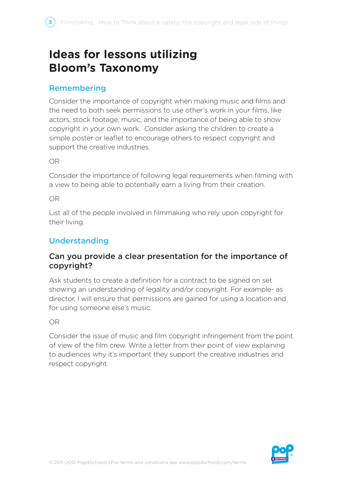# **Ideas for lessons utilizing Bloom's Taxonomy**

### Remembering

Consider the importance of copyright when making music and films and the need to both seek permissions to use other's work in your films, like actors, stock footage, music, and the importance of being able to show copyright in your own work. Consider asking the children to create a simple poster or leaflet to encourage others to respect copyright and support the creative industries.

OR

Consider the importance of following legal requirements when filming with a view to being able to potentially earn a living from their creation.

#### OR

List all of the people involved in filmmaking who rely upon copyright for their living.

### Understanding

### Can you provide a clear presentation for the importance of copyright?

Ask students to create a definition for a contract to be signed on set showing an understanding of legality and/or copyright. For example- as director, I will ensure that permissions are gained for using a location and for using someone else's music.

#### OR

Consider the issue of music and film copyright infringement from the point of view of the film crew. Write a letter from their point of view explaining to audiences why it's important they support the creative industries and respect copyright.